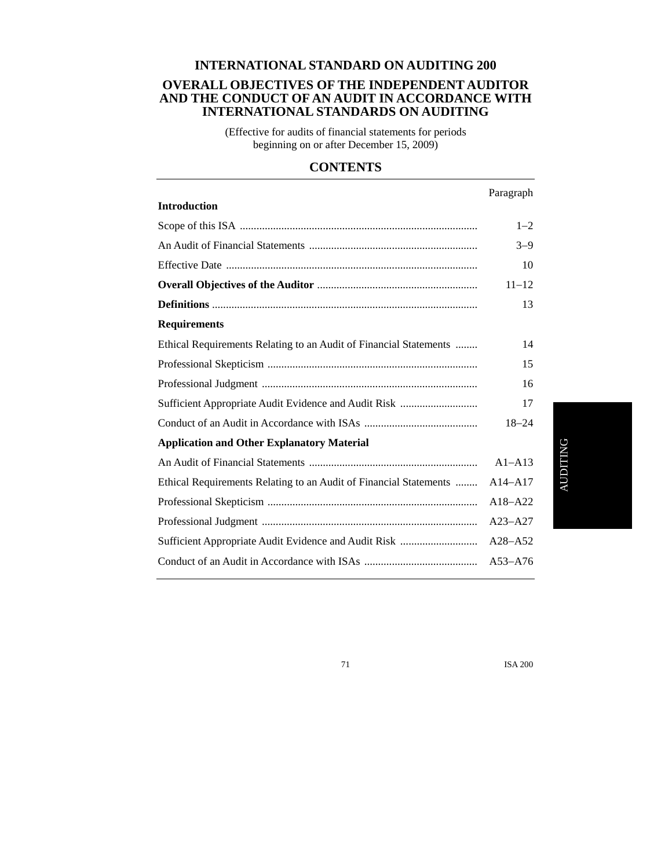# **INTERNATIONAL STANDARD ON AUDITING 200**

# **OVERALL OBJECTIVES OF THE INDEPENDENT AUDITOR AND THE CONDUCT OF AN AUDIT IN ACCORDANCE WITH INTERNATIONAL STANDARDS ON AUDITING**

(Effective for audits of financial statements for periods beginning on or after December 15, 2009)

# **CONTENTS**

|                                                                   | Paragraph   |
|-------------------------------------------------------------------|-------------|
| <b>Introduction</b>                                               |             |
|                                                                   | $1 - 2$     |
|                                                                   | $3 - 9$     |
|                                                                   | 10          |
|                                                                   | $11 - 12$   |
|                                                                   | 13          |
| <b>Requirements</b>                                               |             |
| Ethical Requirements Relating to an Audit of Financial Statements | 14          |
|                                                                   | 15          |
|                                                                   | 16          |
| Sufficient Appropriate Audit Evidence and Audit Risk              | 17          |
|                                                                   | $18 - 24$   |
| <b>Application and Other Explanatory Material</b>                 |             |
|                                                                   | $A1 - A13$  |
| Ethical Requirements Relating to an Audit of Financial Statements | $A14 - A17$ |
|                                                                   | $A18 - A22$ |
|                                                                   | $A23 - A27$ |
| Sufficient Appropriate Audit Evidence and Audit Risk              | $A28 - A52$ |
|                                                                   | $A53 - A76$ |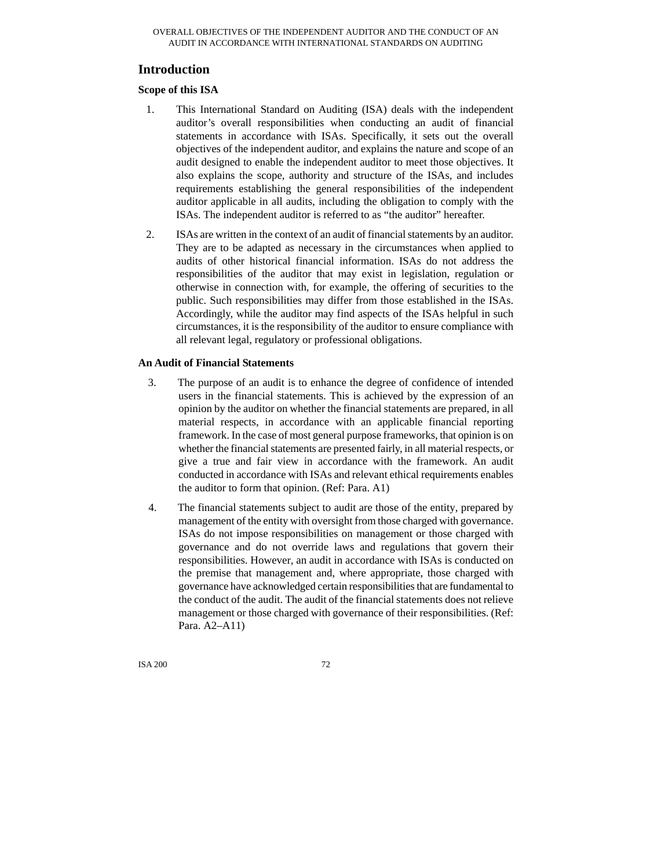# **Introduction**

# **Scope of this ISA**

- 1. This International Standard on Auditing (ISA) deals with the independent auditor's overall responsibilities when conducting an audit of financial statements in accordance with ISAs. Specifically, it sets out the overall objectives of the independent auditor, and explains the nature and scope of an audit designed to enable the independent auditor to meet those objectives. It also explains the scope, authority and structure of the ISAs, and includes requirements establishing the general responsibilities of the independent auditor applicable in all audits, including the obligation to comply with the ISAs. The independent auditor is referred to as "the auditor" hereafter.
- 2. ISAs are written in the context of an audit of financial statements by an auditor. They are to be adapted as necessary in the circumstances when applied to audits of other historical financial information. ISAs do not address the responsibilities of the auditor that may exist in legislation, regulation or otherwise in connection with, for example, the offering of securities to the public. Such responsibilities may differ from those established in the ISAs. Accordingly, while the auditor may find aspects of the ISAs helpful in such circumstances, it is the responsibility of the auditor to ensure compliance with all relevant legal, regulatory or professional obligations.

# **An Audit of Financial Statements**

- 3. The purpose of an audit is to enhance the degree of confidence of intended users in the financial statements. This is achieved by the expression of an opinion by the auditor on whether the financial statements are prepared, in all material respects, in accordance with an applicable financial reporting framework. In the case of most general purpose frameworks, that opinion is on whether the financial statements are presented fairly, in all material respects, or give a true and fair view in accordance with the framework. An audit conducted in accordance with ISAs and relevant ethical requirements enables the auditor to form that opinion. (Ref: Para. A1)
- 4. The financial statements subject to audit are those of the entity, prepared by management of the entity with oversight from those charged with governance. ISAs do not impose responsibilities on management or those charged with governance and do not override laws and regulations that govern their responsibilities. However, an audit in accordance with ISAs is conducted on the premise that management and, where appropriate, those charged with governance have acknowledged certain responsibilities that are fundamental to the conduct of the audit. The audit of the financial statements does not relieve management or those charged with governance of their responsibilities. (Ref: Para. A2–A11)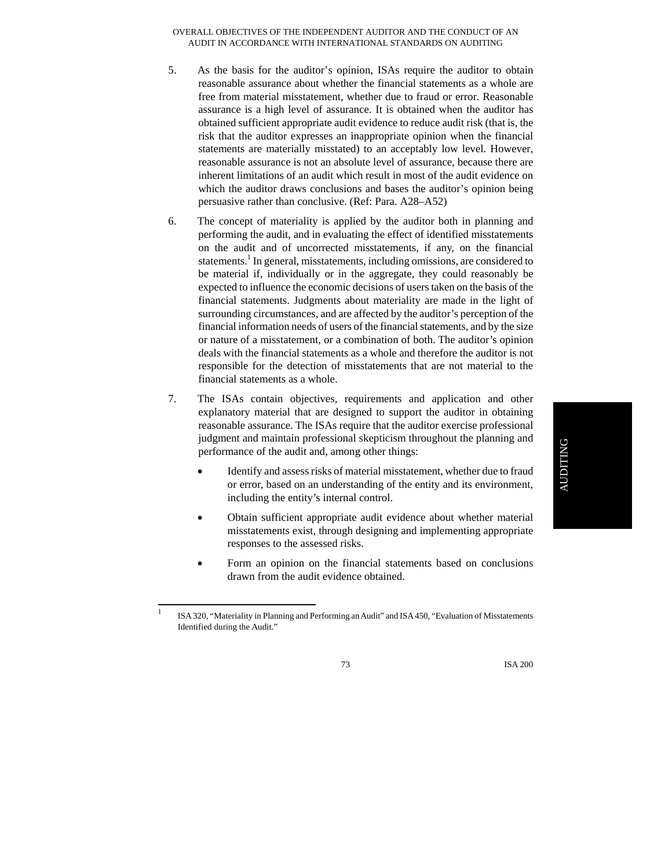- 5. As the basis for the auditor's opinion, ISAs require the auditor to obtain reasonable assurance about whether the financial statements as a whole are free from material misstatement, whether due to fraud or error. Reasonable assurance is a high level of assurance. It is obtained when the auditor has obtained sufficient appropriate audit evidence to reduce audit risk (that is, the risk that the auditor expresses an inappropriate opinion when the financial statements are materially misstated) to an acceptably low level. However, reasonable assurance is not an absolute level of assurance, because there are inherent limitations of an audit which result in most of the audit evidence on which the auditor draws conclusions and bases the auditor's opinion being persuasive rather than conclusive. (Ref: Para. A28–A52)
- 6. The concept of materiality is applied by the auditor both in planning and performing the audit, and in evaluating the effect of identified misstatements on the audit and of uncorrected misstatements, if any, on the financial statements.<sup>1</sup> In general, misstatements, including omissions, are considered to be material if, individually or in the aggregate, they could reasonably be expected to influence the economic decisions of users taken on the basis of the financial statements. Judgments about materiality are made in the light of surrounding circumstances, and are affected by the auditor's perception of the financial information needs of users of the financial statements, and by the size or nature of a misstatement, or a combination of both. The auditor's opinion deals with the financial statements as a whole and therefore the auditor is not responsible for the detection of misstatements that are not material to the financial statements as a whole.
- 7. The ISAs contain objectives, requirements and application and other explanatory material that are designed to support the auditor in obtaining reasonable assurance. The ISAs require that the auditor exercise professional judgment and maintain professional skepticism throughout the planning and performance of the audit and, among other things:
	- Identify and assess risks of material misstatement, whether due to fraud or error, based on an understanding of the entity and its environment, including the entity's internal control.
	- Obtain sufficient appropriate audit evidence about whether material misstatements exist, through designing and implementing appropriate responses to the assessed risks.
	- Form an opinion on the financial statements based on conclusions drawn from the audit evidence obtained.

 $\frac{1}{1}$ 

AUDITING **AUDITING** 

ISA 320, "Materiality in Planning and Performing an Audit" and ISA 450, "Evaluation of Misstatements Identified during the Audit."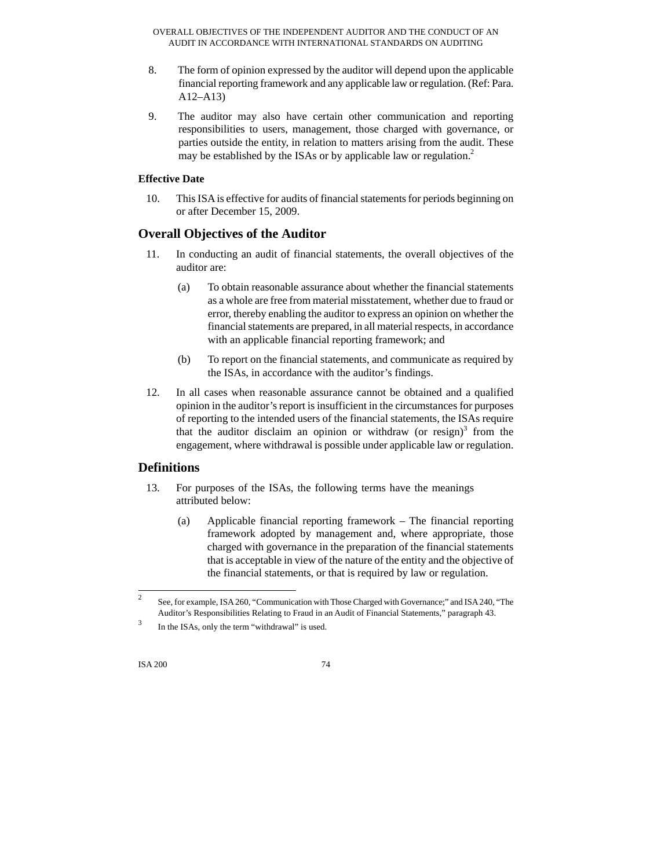- 8. The form of opinion expressed by the auditor will depend upon the applicable financial reporting framework and any applicable law or regulation. (Ref: Para. A12–A13)
- 9. The auditor may also have certain other communication and reporting responsibilities to users, management, those charged with governance, or parties outside the entity, in relation to matters arising from the audit. These may be established by the ISAs or by applicable law or regulation.<sup>2</sup>

# **Effective Date**

10. This ISA is effective for audits of financial statements for periods beginning on or after December 15, 2009.

# **Overall Objectives of the Auditor**

- 11. In conducting an audit of financial statements, the overall objectives of the auditor are:
	- (a) To obtain reasonable assurance about whether the financial statements as a whole are free from material misstatement, whether due to fraud or error, thereby enabling the auditor to express an opinion on whether the financial statements are prepared, in all material respects, in accordance with an applicable financial reporting framework; and
	- (b) To report on the financial statements, and communicate as required by the ISAs, in accordance with the auditor's findings.
- 12. In all cases when reasonable assurance cannot be obtained and a qualified opinion in the auditor's report is insufficient in the circumstances for purposes of reporting to the intended users of the financial statements, the ISAs require that the auditor disclaim an opinion or withdraw (or resign) $3$  from the engagement, where withdrawal is possible under applicable law or regulation.

# **Definitions**

- 13. For purposes of the ISAs, the following terms have the meanings attributed below:
	- (a) Applicable financial reporting framework The financial reporting framework adopted by management and, where appropriate, those charged with governance in the preparation of the financial statements that is acceptable in view of the nature of the entity and the objective of the financial statements, or that is required by law or regulation.

 $\frac{1}{2}$  See, for example, ISA 260, "Communication with Those Charged with Governance;" and ISA 240, "The Auditor's Responsibilities Relating to Fraud in an Audit of Financial Statements," paragraph 43.

<sup>3</sup> In the ISAs, only the term "withdrawal" is used.

ISA 200 74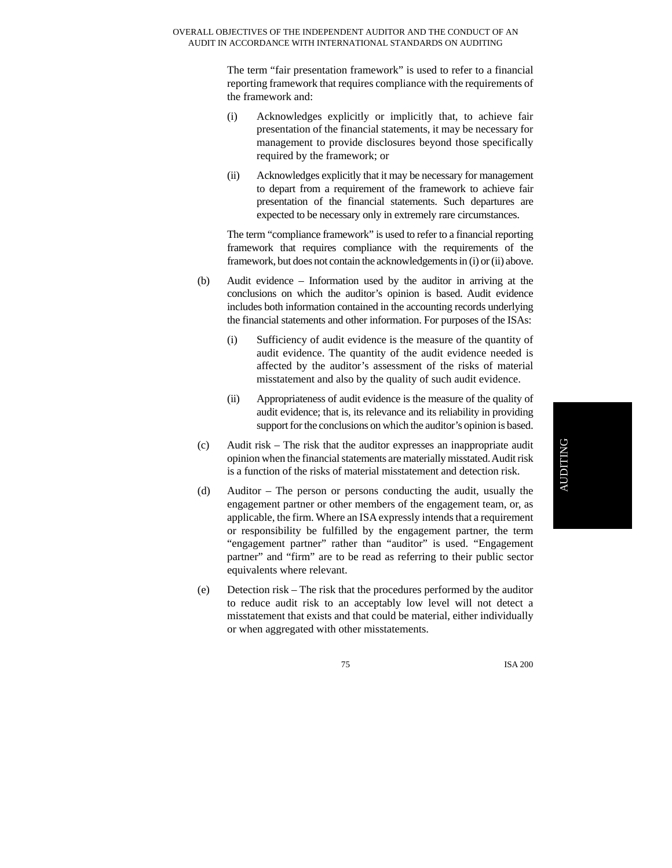The term "fair presentation framework" is used to refer to a financial reporting framework that requires compliance with the requirements of the framework and:

- (i) Acknowledges explicitly or implicitly that, to achieve fair presentation of the financial statements, it may be necessary for management to provide disclosures beyond those specifically required by the framework; or
- (ii) Acknowledges explicitly that it may be necessary for management to depart from a requirement of the framework to achieve fair presentation of the financial statements. Such departures are expected to be necessary only in extremely rare circumstances.

The term "compliance framework" is used to refer to a financial reporting framework that requires compliance with the requirements of the framework, but does not contain the acknowledgements in (i) or (ii) above.

- (b) Audit evidence Information used by the auditor in arriving at the conclusions on which the auditor's opinion is based. Audit evidence includes both information contained in the accounting records underlying the financial statements and other information. For purposes of the ISAs:
	- (i) Sufficiency of audit evidence is the measure of the quantity of audit evidence. The quantity of the audit evidence needed is affected by the auditor's assessment of the risks of material misstatement and also by the quality of such audit evidence.
	- (ii) Appropriateness of audit evidence is the measure of the quality of audit evidence; that is, its relevance and its reliability in providing support for the conclusions on which the auditor's opinion is based.
- (c) Audit risk The risk that the auditor expresses an inappropriate audit opinion when the financial statements are materially misstated. Audit risk is a function of the risks of material misstatement and detection risk.
- (d) Auditor The person or persons conducting the audit, usually the engagement partner or other members of the engagement team, or, as applicable, the firm. Where an ISA expressly intends that a requirement or responsibility be fulfilled by the engagement partner, the term "engagement partner" rather than "auditor" is used. "Engagement partner" and "firm" are to be read as referring to their public sector equivalents where relevant.
- (e) Detection risk The risk that the procedures performed by the auditor to reduce audit risk to an acceptably low level will not detect a misstatement that exists and that could be material, either individually or when aggregated with other misstatements.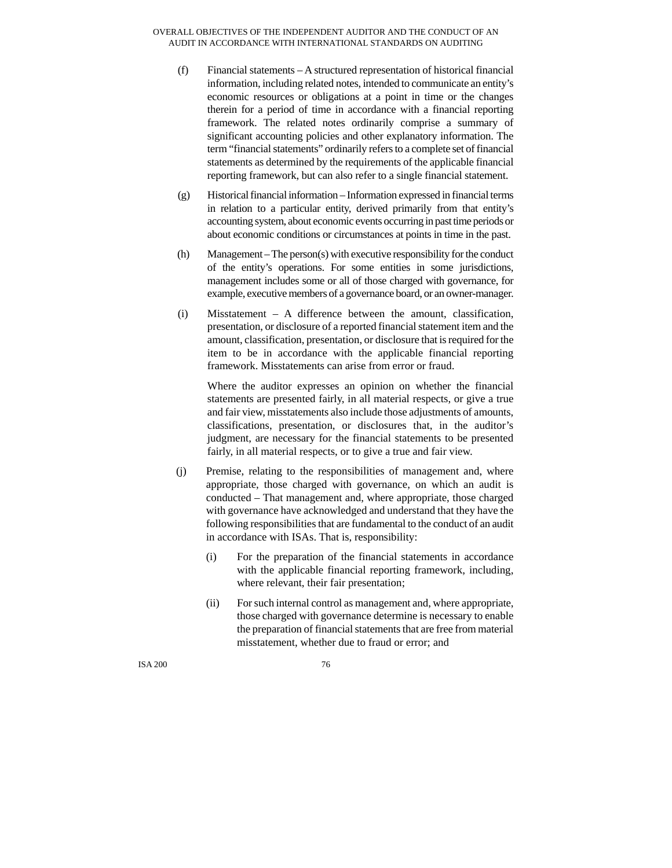- (f) Financial statements A structured representation of historical financial information, including related notes, intended to communicate an entity's economic resources or obligations at a point in time or the changes therein for a period of time in accordance with a financial reporting framework. The related notes ordinarily comprise a summary of significant accounting policies and other explanatory information. The term "financial statements" ordinarily refers to a complete set of financial statements as determined by the requirements of the applicable financial reporting framework, but can also refer to a single financial statement.
- (g) Historical financial information Information expressed in financial terms in relation to a particular entity, derived primarily from that entity's accounting system, about economic events occurring in past time periods or about economic conditions or circumstances at points in time in the past.
- (h) Management The person(s) with executive responsibility for the conduct of the entity's operations. For some entities in some jurisdictions, management includes some or all of those charged with governance, for example, executive members of a governance board, or an owner-manager.
- (i) Misstatement A difference between the amount, classification, presentation, or disclosure of a reported financial statement item and the amount, classification, presentation, or disclosure that is required for the item to be in accordance with the applicable financial reporting framework. Misstatements can arise from error or fraud.

Where the auditor expresses an opinion on whether the financial statements are presented fairly, in all material respects, or give a true and fair view, misstatements also include those adjustments of amounts, classifications, presentation, or disclosures that, in the auditor's judgment, are necessary for the financial statements to be presented fairly, in all material respects, or to give a true and fair view.

- (j) Premise, relating to the responsibilities of management and, where appropriate, those charged with governance, on which an audit is conducted – That management and, where appropriate, those charged with governance have acknowledged and understand that they have the following responsibilities that are fundamental to the conduct of an audit in accordance with ISAs. That is, responsibility:
	- (i) For the preparation of the financial statements in accordance with the applicable financial reporting framework, including, where relevant, their fair presentation;
	- (ii) For such internal control as management and, where appropriate, those charged with governance determine is necessary to enable the preparation of financial statements that are free from material misstatement, whether due to fraud or error; and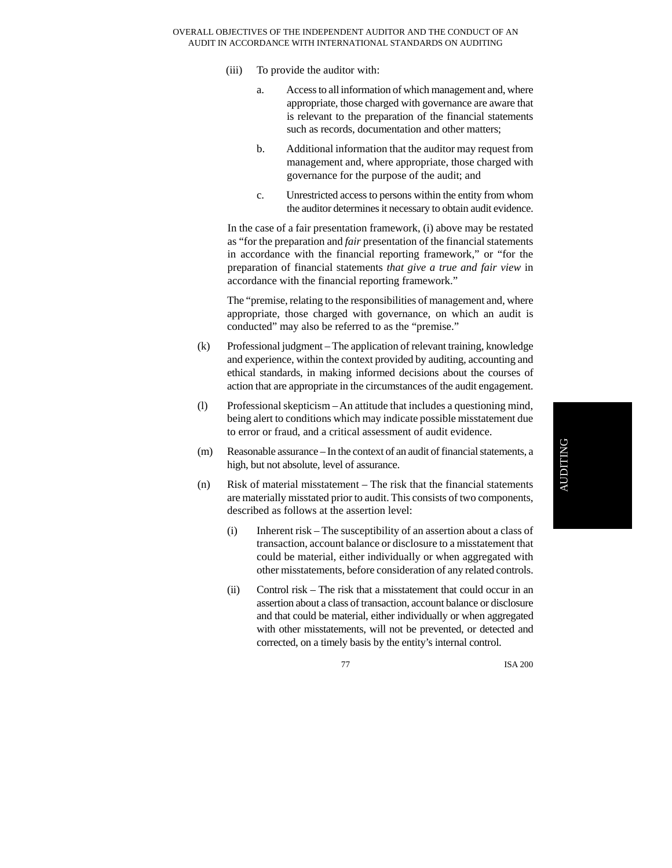- (iii) To provide the auditor with:
	- a. Access to all information of which management and, where appropriate, those charged with governance are aware that is relevant to the preparation of the financial statements such as records, documentation and other matters;
	- b. Additional information that the auditor may request from management and, where appropriate, those charged with governance for the purpose of the audit; and
	- c. Unrestricted access to persons within the entity from whom the auditor determines it necessary to obtain audit evidence.

In the case of a fair presentation framework, (i) above may be restated as "for the preparation and *fair* presentation of the financial statements in accordance with the financial reporting framework," or "for the preparation of financial statements *that give a true and fair view* in accordance with the financial reporting framework."

The "premise, relating to the responsibilities of management and, where appropriate, those charged with governance, on which an audit is conducted" may also be referred to as the "premise."

- (k) Professional judgment The application of relevant training, knowledge and experience, within the context provided by auditing, accounting and ethical standards, in making informed decisions about the courses of action that are appropriate in the circumstances of the audit engagement.
- (l) Professional skepticism An attitude that includes a questioning mind, being alert to conditions which may indicate possible misstatement due to error or fraud, and a critical assessment of audit evidence.
- (m) Reasonable assurance In the context of an audit of financial statements, a high, but not absolute, level of assurance.
- (n) Risk of material misstatement The risk that the financial statements are materially misstated prior to audit. This consists of two components, described as follows at the assertion level:
	- (i) Inherent risk The susceptibility of an assertion about a class of transaction, account balance or disclosure to a misstatement that could be material, either individually or when aggregated with other misstatements, before consideration of any related controls.
	- (ii) Control risk The risk that a misstatement that could occur in an assertion about a class of transaction, account balance or disclosure and that could be material, either individually or when aggregated with other misstatements, will not be prevented, or detected and corrected, on a timely basis by the entity's internal control.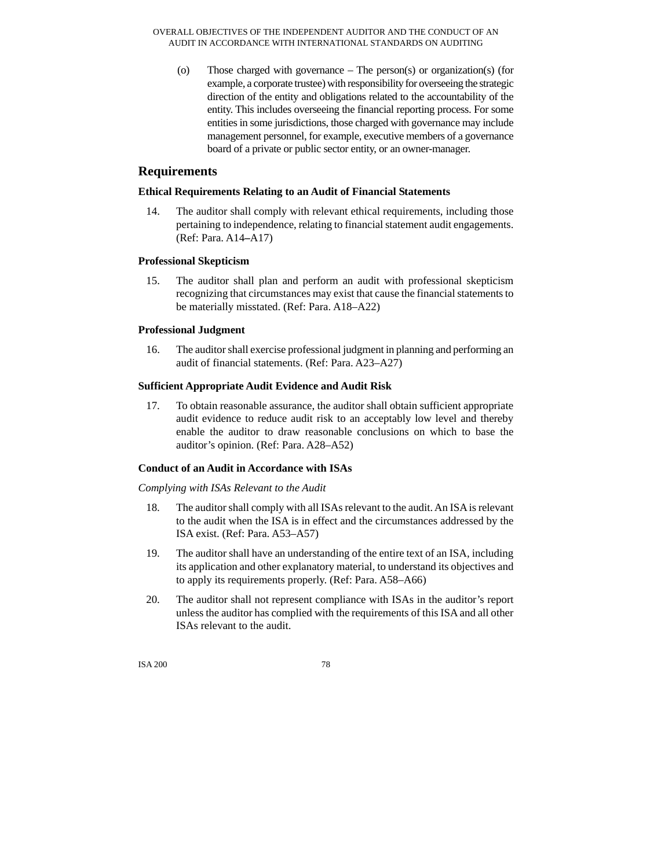(o) Those charged with governance – The person(s) or organization(s) (for example, a corporate trustee) with responsibility for overseeing the strategic direction of the entity and obligations related to the accountability of the entity. This includes overseeing the financial reporting process. For some entities in some jurisdictions, those charged with governance may include management personnel, for example, executive members of a governance board of a private or public sector entity, or an owner-manager.

# **Requirements**

## **Ethical Requirements Relating to an Audit of Financial Statements**

14. The auditor shall comply with relevant ethical requirements, including those pertaining to independence, relating to financial statement audit engagements. (Ref: Para. A14**–**A17)

# **Professional Skepticism**

15. The auditor shall plan and perform an audit with professional skepticism recognizing that circumstances may exist that cause the financial statements to be materially misstated. (Ref: Para. A18–A22)

#### **Professional Judgment**

16. The auditor shall exercise professional judgment in planning and performing an audit of financial statements. (Ref: Para. A23–A27)

# **Sufficient Appropriate Audit Evidence and Audit Risk**

17. To obtain reasonable assurance, the auditor shall obtain sufficient appropriate audit evidence to reduce audit risk to an acceptably low level and thereby enable the auditor to draw reasonable conclusions on which to base the auditor's opinion. (Ref: Para. A28–A52)

## **Conduct of an Audit in Accordance with ISAs**

*Complying with ISAs Relevant to the Audit* 

- 18. The auditor shall comply with all ISAs relevant to the audit. An ISA is relevant to the audit when the ISA is in effect and the circumstances addressed by the ISA exist. (Ref: Para. A53–A57)
- 19. The auditor shall have an understanding of the entire text of an ISA, including its application and other explanatory material, to understand its objectives and to apply its requirements properly. (Ref: Para. A58–A66)
- 20. The auditor shall not represent compliance with ISAs in the auditor's report unless the auditor has complied with the requirements of this ISA and all other ISAs relevant to the audit.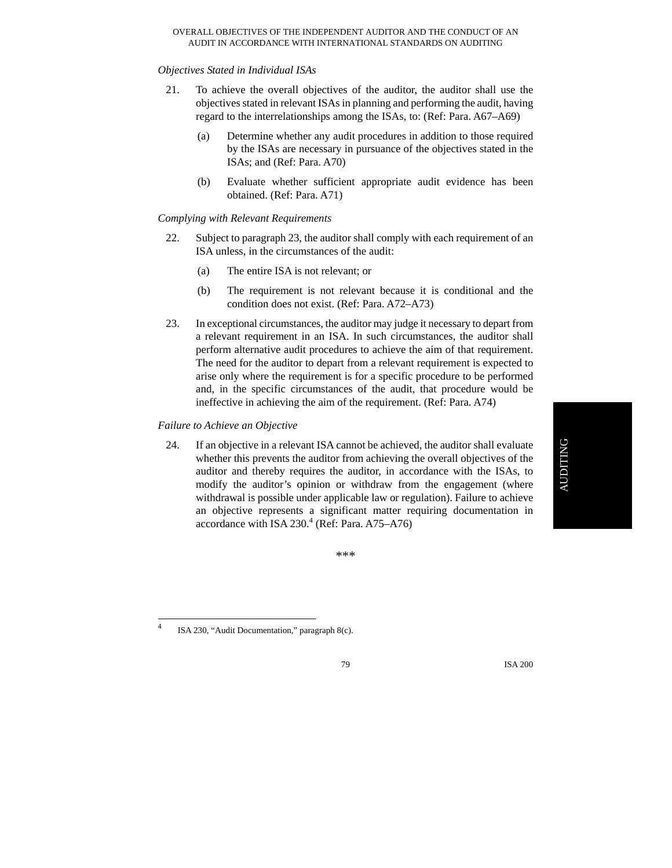# *Objectives Stated in Individual ISAs*

- 21. To achieve the overall objectives of the auditor, the auditor shall use the objectives stated in relevant ISAs in planning and performing the audit, having regard to the interrelationships among the ISAs, to: (Ref: Para. A67–A69)
	- (a) Determine whether any audit procedures in addition to those required by the ISAs are necessary in pursuance of the objectives stated in the ISAs; and (Ref: Para. A70)
	- (b) Evaluate whether sufficient appropriate audit evidence has been obtained. (Ref: Para. A71)

# *Complying with Relevant Requirements*

- 22. Subject to paragraph 23, the auditor shall comply with each requirement of an ISA unless, in the circumstances of the audit:
	- (a) The entire ISA is not relevant; or
	- (b) The requirement is not relevant because it is conditional and the condition does not exist. (Ref: Para. A72–A73)
- 23. In exceptional circumstances, the auditor may judge it necessary to depart from a relevant requirement in an ISA. In such circumstances, the auditor shall perform alternative audit procedures to achieve the aim of that requirement. The need for the auditor to depart from a relevant requirement is expected to arise only where the requirement is for a specific procedure to be performed and, in the specific circumstances of the audit, that procedure would be ineffective in achieving the aim of the requirement. (Ref: Para. A74)

# *Failure to Achieve an Objective*

24. If an objective in a relevant ISA cannot be achieved, the auditor shall evaluate whether this prevents the auditor from achieving the overall objectives of the auditor and thereby requires the auditor, in accordance with the ISAs, to modify the auditor's opinion or withdraw from the engagement (where withdrawal is possible under applicable law or regulation). Failure to achieve an objective represents a significant matter requiring documentation in accordance with ISA 230.<sup>4</sup> (Ref: Para. A75–A76)

 $\frac{1}{4}$ ISA 230, "Audit Documentation," paragraph 8(c).



AUDITING **AUDITING**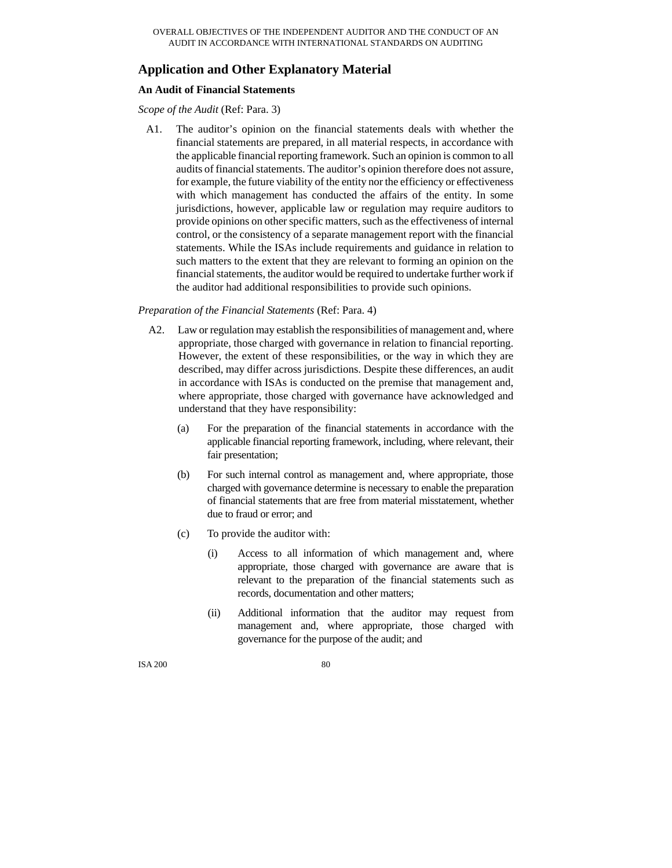# **Application and Other Explanatory Material**

# **An Audit of Financial Statements**

*Scope of the Audit* (Ref: Para. 3)

A1. The auditor's opinion on the financial statements deals with whether the financial statements are prepared, in all material respects, in accordance with the applicable financial reporting framework. Such an opinion is common to all audits of financial statements. The auditor's opinion therefore does not assure, for example, the future viability of the entity nor the efficiency or effectiveness with which management has conducted the affairs of the entity. In some jurisdictions, however, applicable law or regulation may require auditors to provide opinions on other specific matters, such as the effectiveness of internal control, or the consistency of a separate management report with the financial statements. While the ISAs include requirements and guidance in relation to such matters to the extent that they are relevant to forming an opinion on the financial statements, the auditor would be required to undertake further work if the auditor had additional responsibilities to provide such opinions.

# *Preparation of the Financial Statements* (Ref: Para. 4)

- A2. Law or regulation may establish the responsibilities of management and, where appropriate, those charged with governance in relation to financial reporting. However, the extent of these responsibilities, or the way in which they are described, may differ across jurisdictions. Despite these differences, an audit in accordance with ISAs is conducted on the premise that management and, where appropriate, those charged with governance have acknowledged and understand that they have responsibility:
	- (a) For the preparation of the financial statements in accordance with the applicable financial reporting framework, including, where relevant, their fair presentation;
	- (b) For such internal control as management and, where appropriate, those charged with governance determine is necessary to enable the preparation of financial statements that are free from material misstatement, whether due to fraud or error; and
	- (c) To provide the auditor with:
		- (i) Access to all information of which management and, where appropriate, those charged with governance are aware that is relevant to the preparation of the financial statements such as records, documentation and other matters;
		- (ii) Additional information that the auditor may request from management and, where appropriate, those charged with governance for the purpose of the audit; and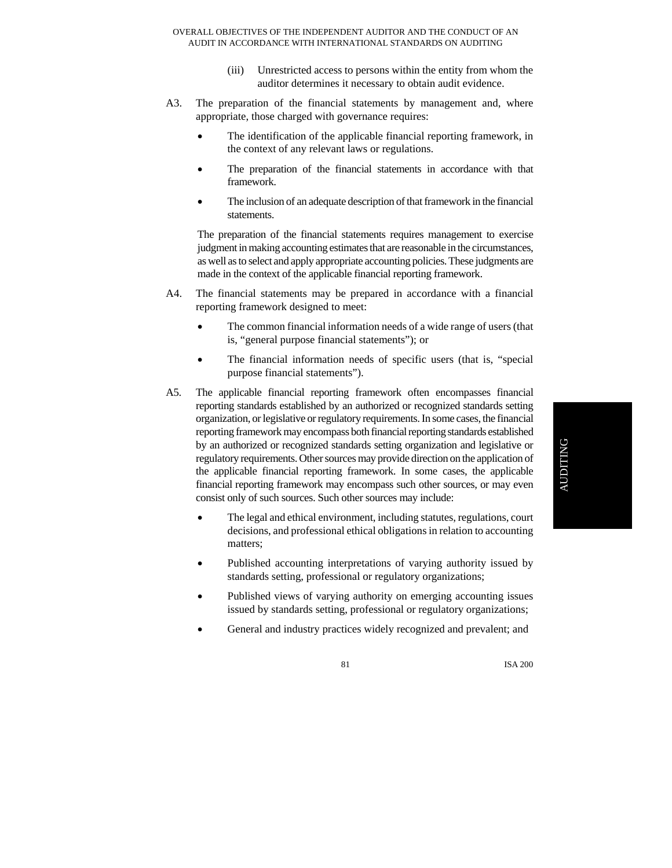- (iii) Unrestricted access to persons within the entity from whom the auditor determines it necessary to obtain audit evidence.
- A3. The preparation of the financial statements by management and, where appropriate, those charged with governance requires:
	- The identification of the applicable financial reporting framework, in the context of any relevant laws or regulations.
	- The preparation of the financial statements in accordance with that framework.
	- The inclusion of an adequate description of that framework in the financial statements.

The preparation of the financial statements requires management to exercise judgment in making accounting estimates that are reasonable in the circumstances, as well as to select and apply appropriate accounting policies. These judgments are made in the context of the applicable financial reporting framework.

- A4. The financial statements may be prepared in accordance with a financial reporting framework designed to meet:
	- The common financial information needs of a wide range of users (that is, "general purpose financial statements"); or
	- The financial information needs of specific users (that is, "special purpose financial statements").
- A5. The applicable financial reporting framework often encompasses financial reporting standards established by an authorized or recognized standards setting organization, or legislative or regulatory requirements. In some cases, the financial reporting framework may encompass both financial reporting standards established by an authorized or recognized standards setting organization and legislative or regulatory requirements. Other sources may provide direction on the application of the applicable financial reporting framework. In some cases, the applicable financial reporting framework may encompass such other sources, or may even consist only of such sources. Such other sources may include:
	- The legal and ethical environment, including statutes, regulations, court decisions, and professional ethical obligations in relation to accounting matters;
	- Published accounting interpretations of varying authority issued by standards setting, professional or regulatory organizations;
	- Published views of varying authority on emerging accounting issues issued by standards setting, professional or regulatory organizations;
	- General and industry practices widely recognized and prevalent; and

AUDITING **AUDITING**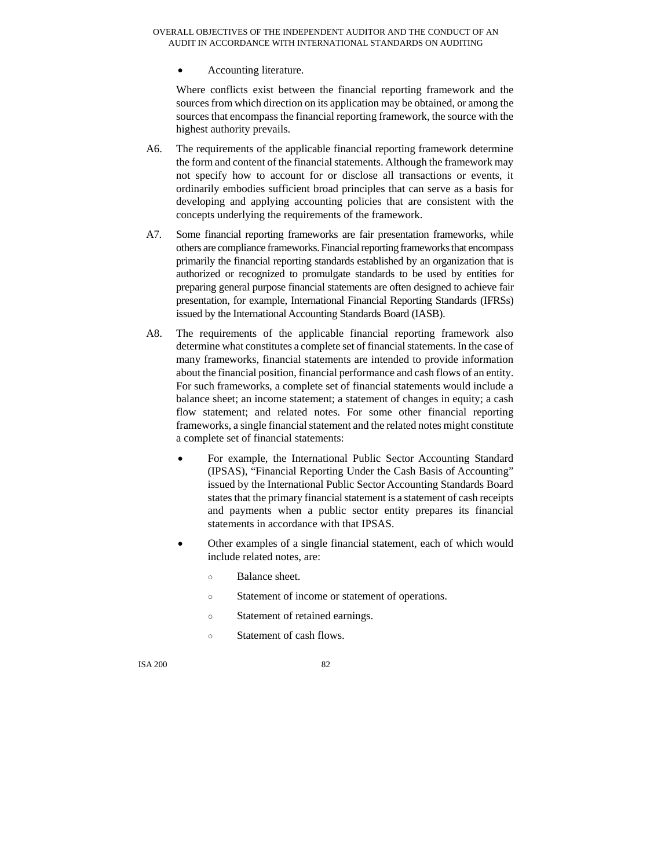Accounting literature.

 Where conflicts exist between the financial reporting framework and the sources from which direction on its application may be obtained, or among the sources that encompass the financial reporting framework, the source with the highest authority prevails.

- A6. The requirements of the applicable financial reporting framework determine the form and content of the financial statements. Although the framework may not specify how to account for or disclose all transactions or events, it ordinarily embodies sufficient broad principles that can serve as a basis for developing and applying accounting policies that are consistent with the concepts underlying the requirements of the framework.
- A7. Some financial reporting frameworks are fair presentation frameworks, while others are compliance frameworks. Financial reporting frameworks that encompass primarily the financial reporting standards established by an organization that is authorized or recognized to promulgate standards to be used by entities for preparing general purpose financial statements are often designed to achieve fair presentation, for example, International Financial Reporting Standards (IFRSs) issued by the International Accounting Standards Board (IASB).
- A8. The requirements of the applicable financial reporting framework also determine what constitutes a complete set of financial statements. In the case of many frameworks, financial statements are intended to provide information about the financial position, financial performance and cash flows of an entity. For such frameworks, a complete set of financial statements would include a balance sheet; an income statement; a statement of changes in equity; a cash flow statement; and related notes. For some other financial reporting frameworks, a single financial statement and the related notes might constitute a complete set of financial statements:
	- For example, the International Public Sector Accounting Standard (IPSAS), "Financial Reporting Under the Cash Basis of Accounting" issued by the International Public Sector Accounting Standards Board states that the primary financial statement is a statement of cash receipts and payments when a public sector entity prepares its financial statements in accordance with that IPSAS.
	- Other examples of a single financial statement, each of which would include related notes, are:
		- Balance sheet.
		- Statement of income or statement of operations.
		- Statement of retained earnings.
		- Statement of cash flows.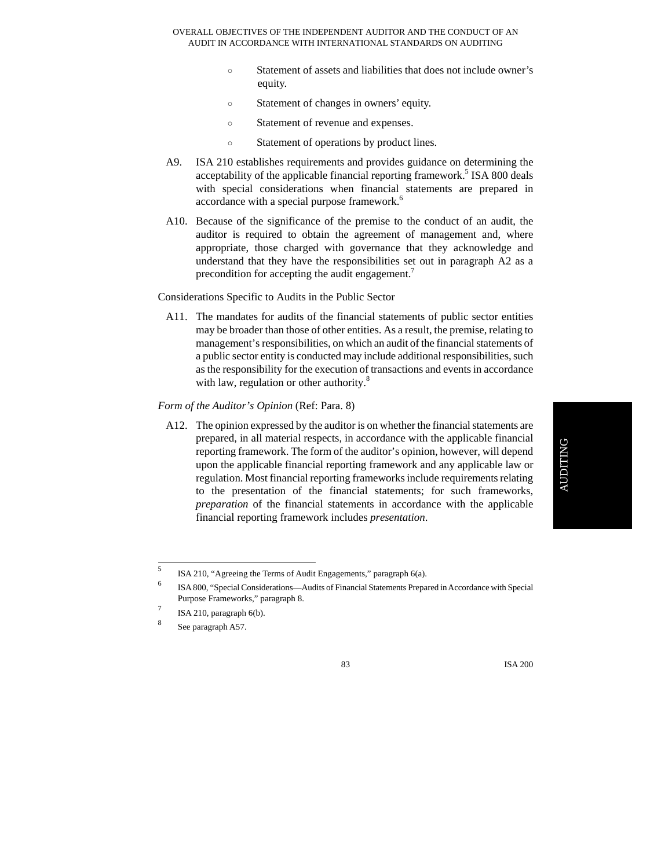- Statement of assets and liabilities that does not include owner's equity.
- Statement of changes in owners' equity.
- Statement of revenue and expenses.
- Statement of operations by product lines.
- A9. ISA 210 establishes requirements and provides guidance on determining the acceptability of the applicable financial reporting framework.<sup>5</sup> ISA 800 deals with special considerations when financial statements are prepared in accordance with a special purpose framework.<sup>6</sup>
- A10. Because of the significance of the premise to the conduct of an audit, the auditor is required to obtain the agreement of management and, where appropriate, those charged with governance that they acknowledge and understand that they have the responsibilities set out in paragraph A2 as a precondition for accepting the audit engagement.<sup>7</sup>

#### Considerations Specific to Audits in the Public Sector

A11. The mandates for audits of the financial statements of public sector entities may be broader than those of other entities. As a result, the premise, relating to management's responsibilities, on which an audit of the financial statements of a public sector entity is conducted may include additional responsibilities, such as the responsibility for the execution of transactions and events in accordance with law, regulation or other authority.<sup>8</sup>

# *Form of the Auditor's Opinion* (Ref: Para. 8)

A12. The opinion expressed by the auditor is on whether the financial statements are prepared, in all material respects, in accordance with the applicable financial reporting framework. The form of the auditor's opinion, however, will depend upon the applicable financial reporting framework and any applicable law or regulation. Most financial reporting frameworks include requirements relating to the presentation of the financial statements; for such frameworks, *preparation* of the financial statements in accordance with the applicable financial reporting framework includes *presentation*.

# AUDITING **AUDITING**

 ISA 210, paragraph 6(b). 8

See paragraph A57.

 5 ISA 210, "Agreeing the Terms of Audit Engagements," paragraph 6(a).

<sup>6</sup> ISA 800, "Special Considerations—Audits of Financial Statements Prepared in Accordance with Special Purpose Frameworks," paragraph 8. 7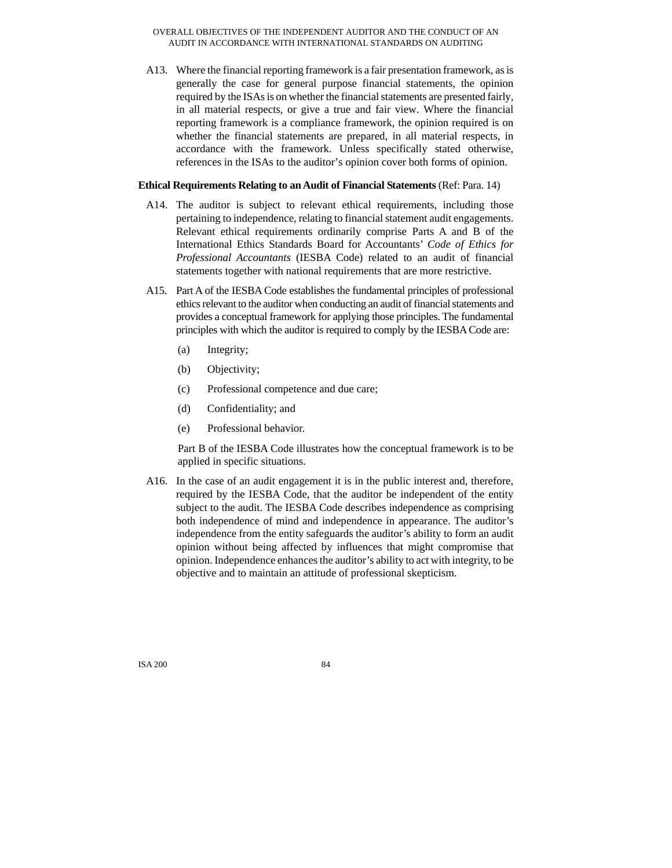A13. Where the financial reporting framework is a fair presentation framework, as is generally the case for general purpose financial statements, the opinion required by the ISAs is on whether the financial statements are presented fairly, in all material respects, or give a true and fair view. Where the financial reporting framework is a compliance framework, the opinion required is on whether the financial statements are prepared, in all material respects, in accordance with the framework. Unless specifically stated otherwise, references in the ISAs to the auditor's opinion cover both forms of opinion.

# **Ethical Requirements Relating to an Audit of Financial Statements** (Ref: Para. 14)

- A14. The auditor is subject to relevant ethical requirements, including those pertaining to independence, relating to financial statement audit engagements. Relevant ethical requirements ordinarily comprise Parts A and B of the International Ethics Standards Board for Accountants' *Code of Ethics for Professional Accountants* (IESBA Code) related to an audit of financial statements together with national requirements that are more restrictive.
- A15. Part A of the IESBA Code establishes the fundamental principles of professional ethics relevant to the auditor when conducting an audit of financial statements and provides a conceptual framework for applying those principles. The fundamental principles with which the auditor is required to comply by the IESBA Code are:
	- (a) Integrity;
	- (b) Objectivity;
	- (c) Professional competence and due care;
	- (d) Confidentiality; and
	- (e) Professional behavior.

Part B of the IESBA Code illustrates how the conceptual framework is to be applied in specific situations.

A16. In the case of an audit engagement it is in the public interest and, therefore, required by the IESBA Code, that the auditor be independent of the entity subject to the audit. The IESBA Code describes independence as comprising both independence of mind and independence in appearance. The auditor's independence from the entity safeguards the auditor's ability to form an audit opinion without being affected by influences that might compromise that opinion. Independence enhances the auditor's ability to act with integrity, to be objective and to maintain an attitude of professional skepticism.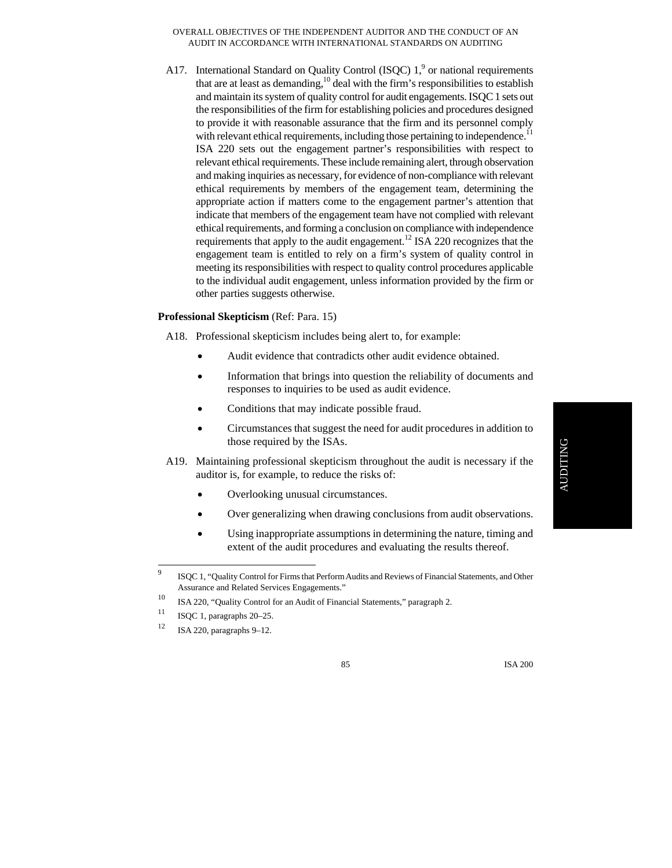A17. International Standard on Quality Control (ISQC)  $1<sup>9</sup>$  or national requirements that are at least as demanding, $10$  deal with the firm's responsibilities to establish and maintain its system of quality control for audit engagements. ISQC 1 sets out the responsibilities of the firm for establishing policies and procedures designed to provide it with reasonable assurance that the firm and its personnel comply with relevant ethical requirements, including those pertaining to independence.<sup>11</sup> ISA 220 sets out the engagement partner's responsibilities with respect to relevant ethical requirements. These include remaining alert, through observation and making inquiries as necessary, for evidence of non-compliance with relevant ethical requirements by members of the engagement team, determining the appropriate action if matters come to the engagement partner's attention that indicate that members of the engagement team have not complied with relevant ethical requirements, and forming a conclusion on compliance with independence requirements that apply to the audit engagement.<sup>12</sup> ISA 220 recognizes that the engagement team is entitled to rely on a firm's system of quality control in meeting its responsibilities with respect to quality control procedures applicable to the individual audit engagement, unless information provided by the firm or other parties suggests otherwise.

## **Professional Skepticism** (Ref: Para. 15)

A18. Professional skepticism includes being alert to, for example:

- Audit evidence that contradicts other audit evidence obtained.
- Information that brings into question the reliability of documents and responses to inquiries to be used as audit evidence.
- Conditions that may indicate possible fraud.
- Circumstances that suggest the need for audit procedures in addition to those required by the ISAs.
- A19. Maintaining professional skepticism throughout the audit is necessary if the auditor is, for example, to reduce the risks of:
	- Overlooking unusual circumstances.
	- Over generalizing when drawing conclusions from audit observations.
	- Using inappropriate assumptions in determining the nature, timing and extent of the audit procedures and evaluating the results thereof.

85 ISA 200

AUDITING

**AUDITING** 

<sup>-&</sup>lt;br>9 ISQC 1, "Quality Control for Firms that Perform Audits and Reviews of Financial Statements, and Other Assurance and Related Services Engagements."

<sup>10</sup> ISA 220, "Quality Control for an Audit of Financial Statements," paragraph 2.

 $11$  ISQC 1, paragraphs 20–25.

 $12$  ISA 220, paragraphs 9–12.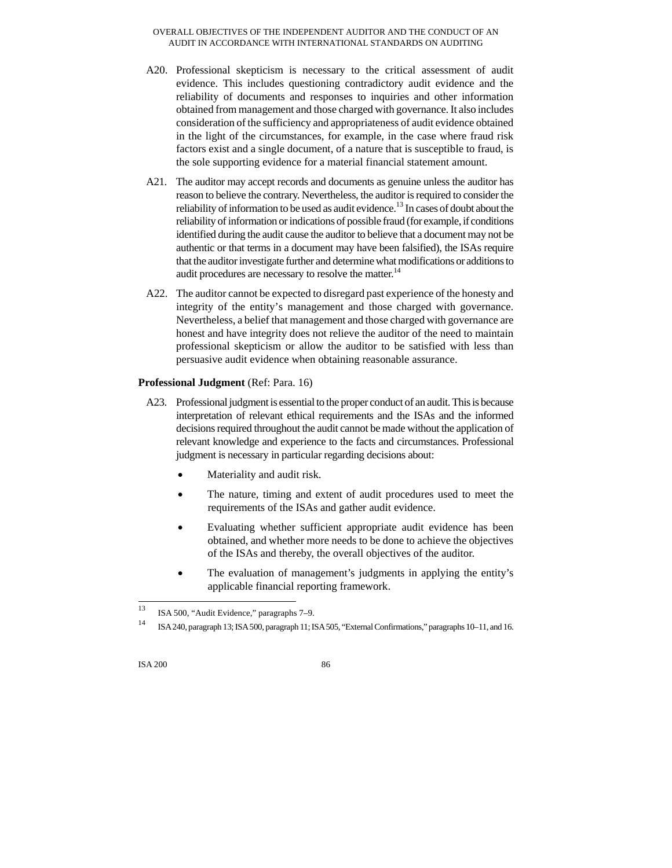- A20. Professional skepticism is necessary to the critical assessment of audit evidence. This includes questioning contradictory audit evidence and the reliability of documents and responses to inquiries and other information obtained from management and those charged with governance. It also includes consideration of the sufficiency and appropriateness of audit evidence obtained in the light of the circumstances, for example, in the case where fraud risk factors exist and a single document, of a nature that is susceptible to fraud, is the sole supporting evidence for a material financial statement amount.
- A21. The auditor may accept records and documents as genuine unless the auditor has reason to believe the contrary. Nevertheless, the auditor is required to consider the reliability of information to be used as audit evidence.<sup>13</sup> In cases of doubt about the reliability of information or indications of possible fraud (for example, if conditions identified during the audit cause the auditor to believe that a document may not be authentic or that terms in a document may have been falsified), the ISAs require that the auditor investigate further and determine what modifications or additions to audit procedures are necessary to resolve the matter.<sup>14</sup>
- A22. The auditor cannot be expected to disregard past experience of the honesty and integrity of the entity's management and those charged with governance. Nevertheless, a belief that management and those charged with governance are honest and have integrity does not relieve the auditor of the need to maintain professional skepticism or allow the auditor to be satisfied with less than persuasive audit evidence when obtaining reasonable assurance.

# **Professional Judgment** (Ref: Para. 16)

- A23. Professional judgment is essential to the proper conduct of an audit. This is because interpretation of relevant ethical requirements and the ISAs and the informed decisions required throughout the audit cannot be made without the application of relevant knowledge and experience to the facts and circumstances. Professional judgment is necessary in particular regarding decisions about:
	- Materiality and audit risk.
	- The nature, timing and extent of audit procedures used to meet the requirements of the ISAs and gather audit evidence.
	- Evaluating whether sufficient appropriate audit evidence has been obtained, and whether more needs to be done to achieve the objectives of the ISAs and thereby, the overall objectives of the auditor.
	- The evaluation of management's judgments in applying the entity's applicable financial reporting framework.

 $13$ 13 ISA 500, "Audit Evidence," paragraphs 7–9.

<sup>14</sup> ISA 240, paragraph 13; ISA 500, paragraph 11; ISA 505, "External Confirmations," paragraphs 10–11, and 16.

**ISA 200** 86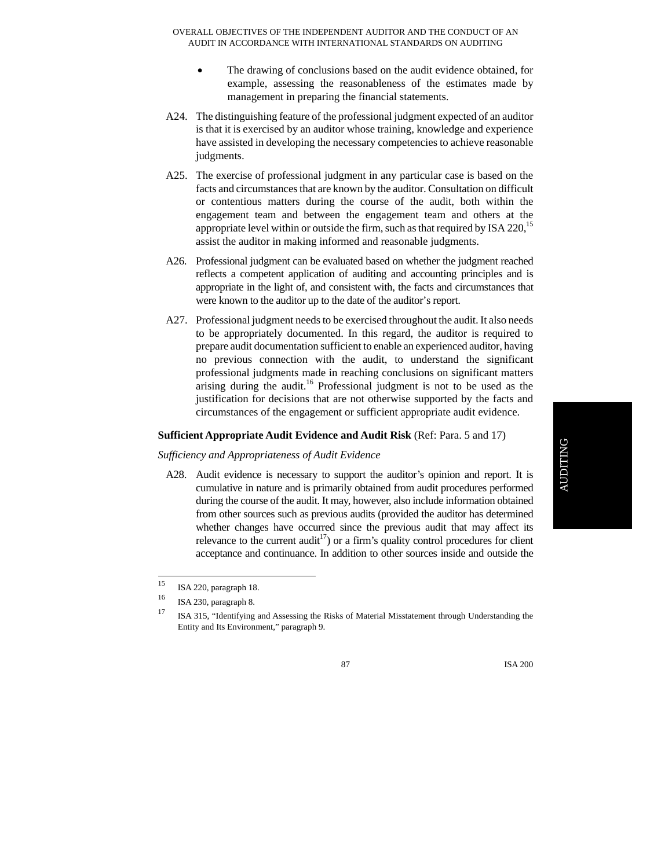- The drawing of conclusions based on the audit evidence obtained, for example, assessing the reasonableness of the estimates made by management in preparing the financial statements.
- A24. The distinguishing feature of the professional judgment expected of an auditor is that it is exercised by an auditor whose training, knowledge and experience have assisted in developing the necessary competencies to achieve reasonable judgments.
- A25. The exercise of professional judgment in any particular case is based on the facts and circumstances that are known by the auditor. Consultation on difficult or contentious matters during the course of the audit, both within the engagement team and between the engagement team and others at the appropriate level within or outside the firm, such as that required by ISA 220,  $^{15}$ assist the auditor in making informed and reasonable judgments.
- A26. Professional judgment can be evaluated based on whether the judgment reached reflects a competent application of auditing and accounting principles and is appropriate in the light of, and consistent with, the facts and circumstances that were known to the auditor up to the date of the auditor's report.
- A27. Professional judgment needs to be exercised throughout the audit. It also needs to be appropriately documented. In this regard, the auditor is required to prepare audit documentation sufficient to enable an experienced auditor, having no previous connection with the audit, to understand the significant professional judgments made in reaching conclusions on significant matters arising during the audit.<sup>16</sup> Professional judgment is not to be used as the justification for decisions that are not otherwise supported by the facts and circumstances of the engagement or sufficient appropriate audit evidence.

#### **Sufficient Appropriate Audit Evidence and Audit Risk** (Ref: Para. 5 and 17)

#### *Sufficiency and Appropriateness of Audit Evidence*

A28. Audit evidence is necessary to support the auditor's opinion and report. It is cumulative in nature and is primarily obtained from audit procedures performed during the course of the audit. It may, however, also include information obtained from other sources such as previous audits (provided the auditor has determined whether changes have occurred since the previous audit that may affect its relevance to the current audit<sup>17</sup>) or a firm's quality control procedures for client acceptance and continuance. In addition to other sources inside and outside the

87 ISA 200

AUDITING

**AUDITING** 

<sup>15</sup>  $15$  ISA 220, paragraph 18.

<sup>16</sup> ISA 230, paragraph 8.

<sup>&</sup>lt;sup>17</sup> ISA 315, "Identifying and Assessing the Risks of Material Misstatement through Understanding the Entity and Its Environment," paragraph 9.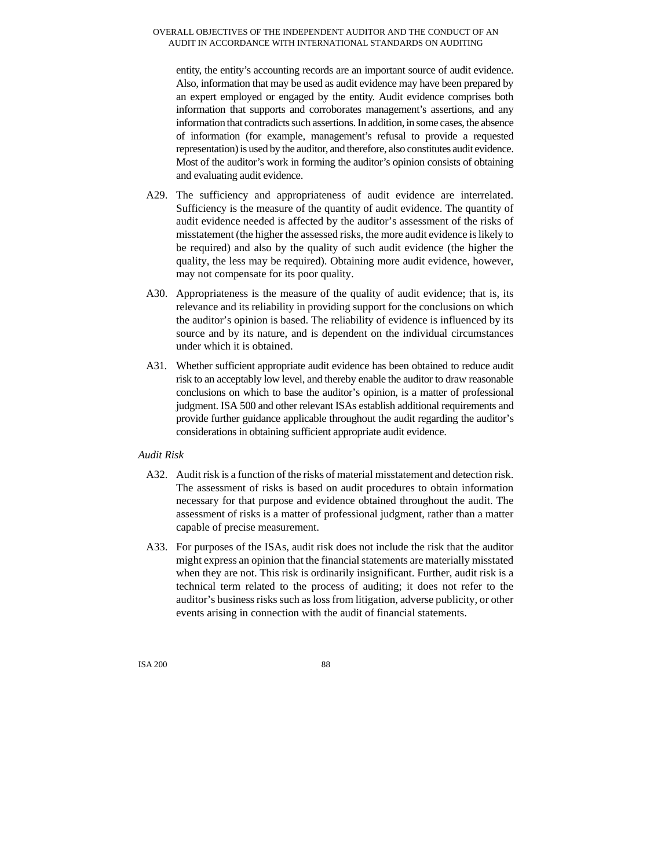entity, the entity's accounting records are an important source of audit evidence. Also, information that may be used as audit evidence may have been prepared by an expert employed or engaged by the entity. Audit evidence comprises both information that supports and corroborates management's assertions, and any information that contradicts such assertions. In addition, in some cases, the absence of information (for example, management's refusal to provide a requested representation) is used by the auditor, and therefore, also constitutes audit evidence. Most of the auditor's work in forming the auditor's opinion consists of obtaining and evaluating audit evidence.

- A29. The sufficiency and appropriateness of audit evidence are interrelated. Sufficiency is the measure of the quantity of audit evidence. The quantity of audit evidence needed is affected by the auditor's assessment of the risks of misstatement (the higher the assessed risks, the more audit evidence is likely to be required) and also by the quality of such audit evidence (the higher the quality, the less may be required). Obtaining more audit evidence, however, may not compensate for its poor quality.
- A30. Appropriateness is the measure of the quality of audit evidence; that is, its relevance and its reliability in providing support for the conclusions on which the auditor's opinion is based. The reliability of evidence is influenced by its source and by its nature, and is dependent on the individual circumstances under which it is obtained.
- A31. Whether sufficient appropriate audit evidence has been obtained to reduce audit risk to an acceptably low level, and thereby enable the auditor to draw reasonable conclusions on which to base the auditor's opinion, is a matter of professional judgment. ISA 500 and other relevant ISAs establish additional requirements and provide further guidance applicable throughout the audit regarding the auditor's considerations in obtaining sufficient appropriate audit evidence.

## *Audit Risk*

- A32. Audit risk is a function of the risks of material misstatement and detection risk. The assessment of risks is based on audit procedures to obtain information necessary for that purpose and evidence obtained throughout the audit. The assessment of risks is a matter of professional judgment, rather than a matter capable of precise measurement.
- A33. For purposes of the ISAs, audit risk does not include the risk that the auditor might express an opinion that the financial statements are materially misstated when they are not. This risk is ordinarily insignificant. Further, audit risk is a technical term related to the process of auditing; it does not refer to the auditor's business risks such as loss from litigation, adverse publicity, or other events arising in connection with the audit of financial statements.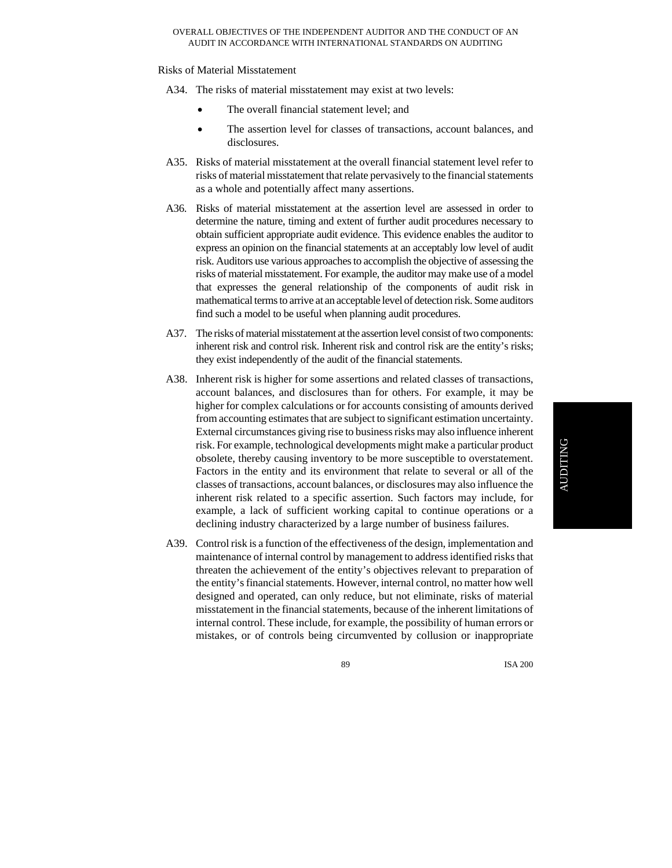#### Risks of Material Misstatement

A34. The risks of material misstatement may exist at two levels:

- The overall financial statement level; and
- The assertion level for classes of transactions, account balances, and disclosures.
- A35. Risks of material misstatement at the overall financial statement level refer to risks of material misstatement that relate pervasively to the financial statements as a whole and potentially affect many assertions.
- A36. Risks of material misstatement at the assertion level are assessed in order to determine the nature, timing and extent of further audit procedures necessary to obtain sufficient appropriate audit evidence. This evidence enables the auditor to express an opinion on the financial statements at an acceptably low level of audit risk. Auditors use various approaches to accomplish the objective of assessing the risks of material misstatement. For example, the auditor may make use of a model that expresses the general relationship of the components of audit risk in mathematical terms to arrive at an acceptable level of detection risk. Some auditors find such a model to be useful when planning audit procedures.
- A37. The risks of material misstatement at the assertion level consist of two components: inherent risk and control risk. Inherent risk and control risk are the entity's risks; they exist independently of the audit of the financial statements.
- A38. Inherent risk is higher for some assertions and related classes of transactions, account balances, and disclosures than for others. For example, it may be higher for complex calculations or for accounts consisting of amounts derived from accounting estimates that are subject to significant estimation uncertainty. External circumstances giving rise to business risks may also influence inherent risk. For example, technological developments might make a particular product obsolete, thereby causing inventory to be more susceptible to overstatement. Factors in the entity and its environment that relate to several or all of the classes of transactions, account balances, or disclosures may also influence the inherent risk related to a specific assertion. Such factors may include, for example, a lack of sufficient working capital to continue operations or a declining industry characterized by a large number of business failures.
- A39. Control risk is a function of the effectiveness of the design, implementation and maintenance of internal control by management to address identified risks that threaten the achievement of the entity's objectives relevant to preparation of the entity's financial statements. However, internal control, no matter how well designed and operated, can only reduce, but not eliminate, risks of material misstatement in the financial statements, because of the inherent limitations of internal control. These include, for example, the possibility of human errors or mistakes, or of controls being circumvented by collusion or inappropriate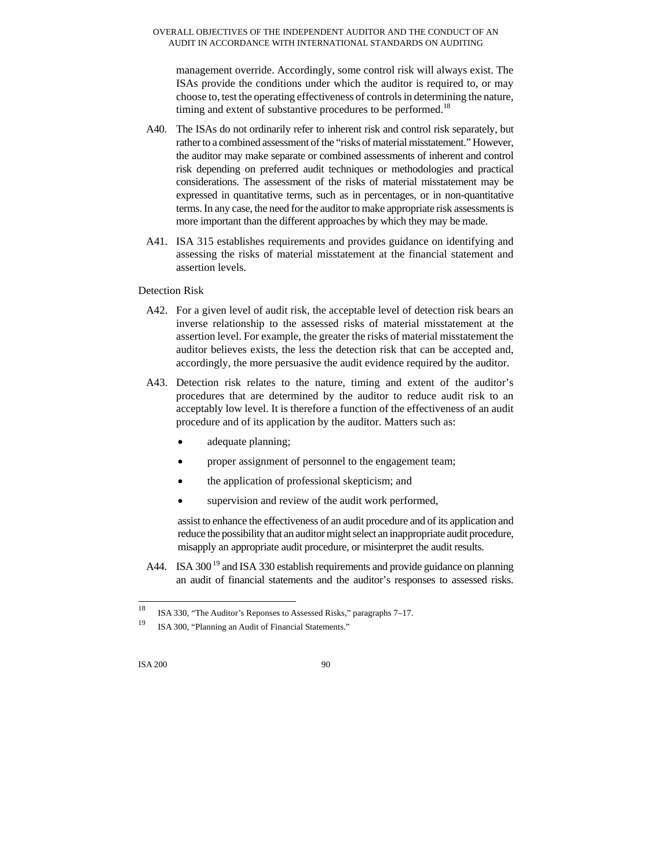management override. Accordingly, some control risk will always exist. The ISAs provide the conditions under which the auditor is required to, or may choose to, test the operating effectiveness of controls in determining the nature, timing and extent of substantive procedures to be performed.<sup>18</sup>

- A40. The ISAs do not ordinarily refer to inherent risk and control risk separately, but rather to a combined assessment of the "risks of material misstatement." However, the auditor may make separate or combined assessments of inherent and control risk depending on preferred audit techniques or methodologies and practical considerations. The assessment of the risks of material misstatement may be expressed in quantitative terms, such as in percentages, or in non-quantitative terms. In any case, the need for the auditor to make appropriate risk assessments is more important than the different approaches by which they may be made.
- A41. ISA 315 establishes requirements and provides guidance on identifying and assessing the risks of material misstatement at the financial statement and assertion levels.

# Detection Risk

- A42. For a given level of audit risk, the acceptable level of detection risk bears an inverse relationship to the assessed risks of material misstatement at the assertion level. For example, the greater the risks of material misstatement the auditor believes exists, the less the detection risk that can be accepted and, accordingly, the more persuasive the audit evidence required by the auditor.
- A43. Detection risk relates to the nature, timing and extent of the auditor's procedures that are determined by the auditor to reduce audit risk to an acceptably low level. It is therefore a function of the effectiveness of an audit procedure and of its application by the auditor. Matters such as:
	- adequate planning;
	- proper assignment of personnel to the engagement team;
	- the application of professional skepticism; and
	- supervision and review of the audit work performed,

assist to enhance the effectiveness of an audit procedure and of its application and reduce the possibility that an auditor might select an inappropriate audit procedure, misapply an appropriate audit procedure, or misinterpret the audit results.

A44. ISA 300<sup>19</sup> and ISA 330 establish requirements and provide guidance on planning an audit of financial statements and the auditor's responses to assessed risks.

<sup>18</sup> 18 ISA 330, "The Auditor's Reponses to Assessed Risks," paragraphs 7–17.

<sup>&</sup>lt;sup>19</sup> ISA 300, "Planning an Audit of Financial Statements."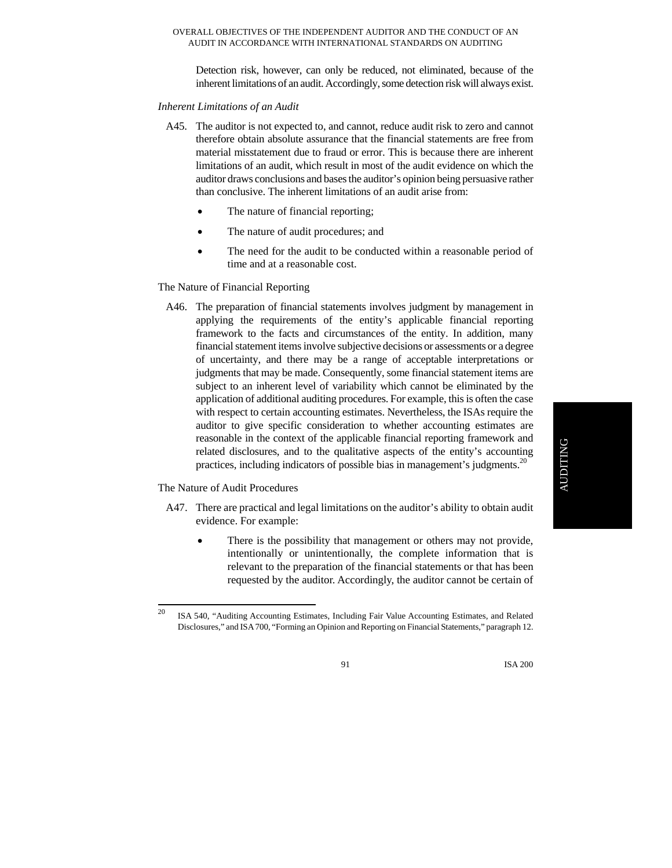Detection risk, however, can only be reduced, not eliminated, because of the inherent limitations of an audit. Accordingly, some detection risk will always exist.

#### *Inherent Limitations of an Audit*

- A45. The auditor is not expected to, and cannot, reduce audit risk to zero and cannot therefore obtain absolute assurance that the financial statements are free from material misstatement due to fraud or error. This is because there are inherent limitations of an audit, which result in most of the audit evidence on which the auditor draws conclusions and bases the auditor's opinion being persuasive rather than conclusive. The inherent limitations of an audit arise from:
	- The nature of financial reporting;
	- The nature of audit procedures; and
	- The need for the audit to be conducted within a reasonable period of time and at a reasonable cost.

# The Nature of Financial Reporting

A46. The preparation of financial statements involves judgment by management in applying the requirements of the entity's applicable financial reporting framework to the facts and circumstances of the entity. In addition, many financial statement items involve subjective decisions or assessments or a degree of uncertainty, and there may be a range of acceptable interpretations or judgments that may be made. Consequently, some financial statement items are subject to an inherent level of variability which cannot be eliminated by the application of additional auditing procedures. For example, this is often the case with respect to certain accounting estimates. Nevertheless, the ISAs require the auditor to give specific consideration to whether accounting estimates are reasonable in the context of the applicable financial reporting framework and related disclosures, and to the qualitative aspects of the entity's accounting practices, including indicators of possible bias in management's judgments.<sup>20</sup>

# The Nature of Audit Procedures

- A47. There are practical and legal limitations on the auditor's ability to obtain audit evidence. For example:
	- There is the possibility that management or others may not provide, intentionally or unintentionally, the complete information that is relevant to the preparation of the financial statements or that has been requested by the auditor. Accordingly, the auditor cannot be certain of

<sup>20</sup> 20 ISA 540, "Auditing Accounting Estimates, Including Fair Value Accounting Estimates, and Related Disclosures," and ISA 700, "Forming an Opinion and Reporting on Financial Statements," paragraph 12.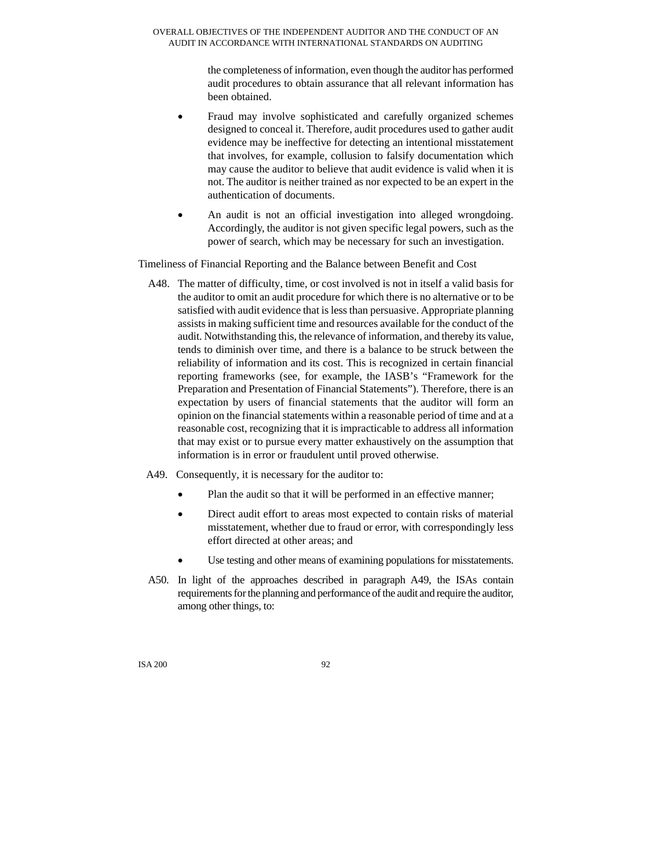the completeness of information, even though the auditor has performed audit procedures to obtain assurance that all relevant information has been obtained.

- Fraud may involve sophisticated and carefully organized schemes designed to conceal it. Therefore, audit procedures used to gather audit evidence may be ineffective for detecting an intentional misstatement that involves, for example, collusion to falsify documentation which may cause the auditor to believe that audit evidence is valid when it is not. The auditor is neither trained as nor expected to be an expert in the authentication of documents.
- An audit is not an official investigation into alleged wrongdoing. Accordingly, the auditor is not given specific legal powers, such as the power of search, which may be necessary for such an investigation.

Timeliness of Financial Reporting and the Balance between Benefit and Cost

- A48. The matter of difficulty, time, or cost involved is not in itself a valid basis for the auditor to omit an audit procedure for which there is no alternative or to be satisfied with audit evidence that is less than persuasive. Appropriate planning assists in making sufficient time and resources available for the conduct of the audit. Notwithstanding this, the relevance of information, and thereby its value, tends to diminish over time, and there is a balance to be struck between the reliability of information and its cost. This is recognized in certain financial reporting frameworks (see, for example, the IASB's "Framework for the Preparation and Presentation of Financial Statements"). Therefore, there is an expectation by users of financial statements that the auditor will form an opinion on the financial statements within a reasonable period of time and at a reasonable cost, recognizing that it is impracticable to address all information that may exist or to pursue every matter exhaustively on the assumption that information is in error or fraudulent until proved otherwise.
- A49. Consequently, it is necessary for the auditor to:
	- Plan the audit so that it will be performed in an effective manner;
	- Direct audit effort to areas most expected to contain risks of material misstatement, whether due to fraud or error, with correspondingly less effort directed at other areas; and
	- Use testing and other means of examining populations for misstatements.
- A50. In light of the approaches described in paragraph A49, the ISAs contain requirements for the planning and performance of the audit and require the auditor, among other things, to: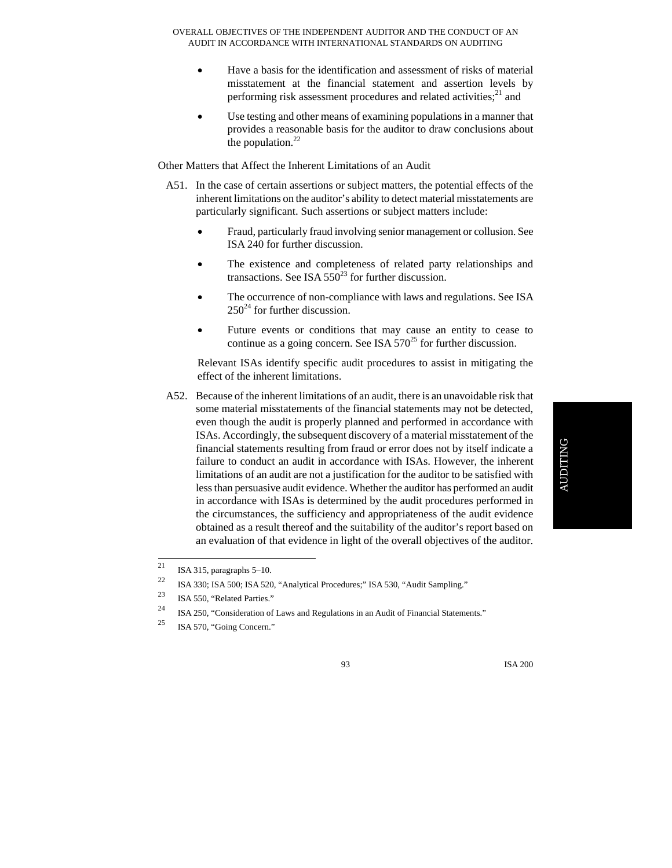- Have a basis for the identification and assessment of risks of material misstatement at the financial statement and assertion levels by performing risk assessment procedures and related activities; $^{21}$  and
- Use testing and other means of examining populations in a manner that provides a reasonable basis for the auditor to draw conclusions about the population. $^{22}$

Other Matters that Affect the Inherent Limitations of an Audit

- A51. In the case of certain assertions or subject matters, the potential effects of the inherent limitations on the auditor's ability to detect material misstatements are particularly significant. Such assertions or subject matters include:
	- Fraud, particularly fraud involving senior management or collusion. See ISA 240 for further discussion.
	- The existence and completeness of related party relationships and transactions. See ISA  $550^{23}$  for further discussion.
	- The occurrence of non-compliance with laws and regulations. See ISA  $250^{24}$  for further discussion.
	- Future events or conditions that may cause an entity to cease to continue as a going concern. See ISA  $570^{25}$  for further discussion.

Relevant ISAs identify specific audit procedures to assist in mitigating the effect of the inherent limitations.

A52. Because of the inherent limitations of an audit, there is an unavoidable risk that some material misstatements of the financial statements may not be detected, even though the audit is properly planned and performed in accordance with ISAs. Accordingly, the subsequent discovery of a material misstatement of the financial statements resulting from fraud or error does not by itself indicate a failure to conduct an audit in accordance with ISAs. However, the inherent limitations of an audit are not a justification for the auditor to be satisfied with less than persuasive audit evidence. Whether the auditor has performed an audit in accordance with ISAs is determined by the audit procedures performed in the circumstances, the sufficiency and appropriateness of the audit evidence obtained as a result thereof and the suitability of the auditor's report based on an evaluation of that evidence in light of the overall objectives of the auditor.

93 ISA 200

AUDITING

**AUDITING** 

<sup>21</sup> ISA 315, paragraphs  $5-10$ .

<sup>&</sup>lt;sup>22</sup> ISA 330; ISA 500; ISA 520, "Analytical Procedures;" ISA 530, "Audit Sampling."

<sup>&</sup>lt;sup>23</sup> ISA 550, "Related Parties."

ISA 250, "Consideration of Laws and Regulations in an Audit of Financial Statements."

<sup>25</sup> ISA 570, "Going Concern."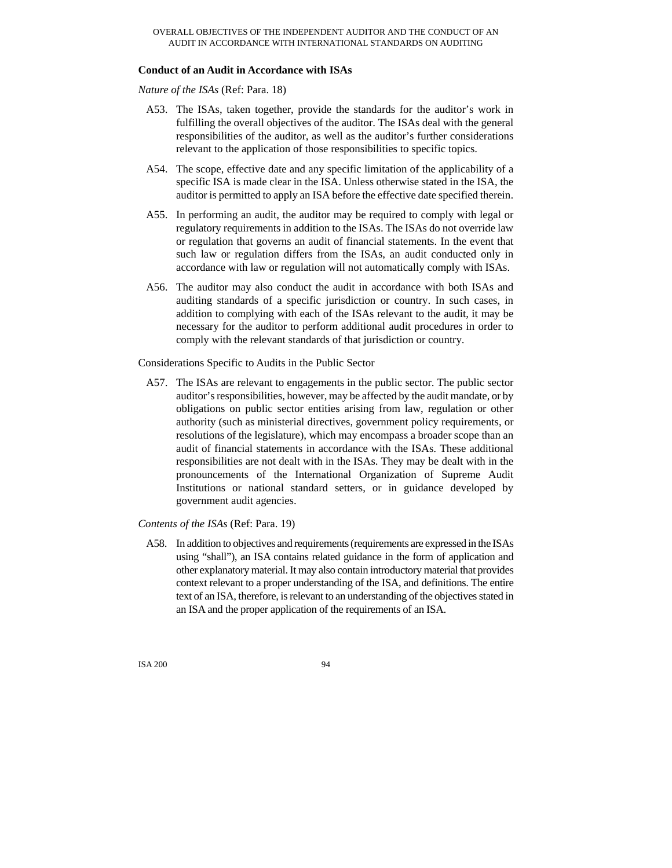## **Conduct of an Audit in Accordance with ISAs**

*Nature of the ISAs* (Ref: Para. 18)

- A53. The ISAs, taken together, provide the standards for the auditor's work in fulfilling the overall objectives of the auditor. The ISAs deal with the general responsibilities of the auditor, as well as the auditor's further considerations relevant to the application of those responsibilities to specific topics.
- A54. The scope, effective date and any specific limitation of the applicability of a specific ISA is made clear in the ISA. Unless otherwise stated in the ISA, the auditor is permitted to apply an ISA before the effective date specified therein.
- A55. In performing an audit, the auditor may be required to comply with legal or regulatory requirements in addition to the ISAs. The ISAs do not override law or regulation that governs an audit of financial statements. In the event that such law or regulation differs from the ISAs, an audit conducted only in accordance with law or regulation will not automatically comply with ISAs.
- A56. The auditor may also conduct the audit in accordance with both ISAs and auditing standards of a specific jurisdiction or country. In such cases, in addition to complying with each of the ISAs relevant to the audit, it may be necessary for the auditor to perform additional audit procedures in order to comply with the relevant standards of that jurisdiction or country.

## Considerations Specific to Audits in the Public Sector

A57. The ISAs are relevant to engagements in the public sector. The public sector auditor's responsibilities, however, may be affected by the audit mandate, or by obligations on public sector entities arising from law, regulation or other authority (such as ministerial directives, government policy requirements, or resolutions of the legislature), which may encompass a broader scope than an audit of financial statements in accordance with the ISAs. These additional responsibilities are not dealt with in the ISAs. They may be dealt with in the pronouncements of the International Organization of Supreme Audit Institutions or national standard setters, or in guidance developed by government audit agencies.

# *Contents of the ISAs* (Ref: Para. 19)

A58. In addition to objectives and requirements (requirements are expressed in the ISAs using "shall"), an ISA contains related guidance in the form of application and other explanatory material. It may also contain introductory material that provides context relevant to a proper understanding of the ISA, and definitions. The entire text of an ISA, therefore, is relevant to an understanding of the objectives stated in an ISA and the proper application of the requirements of an ISA.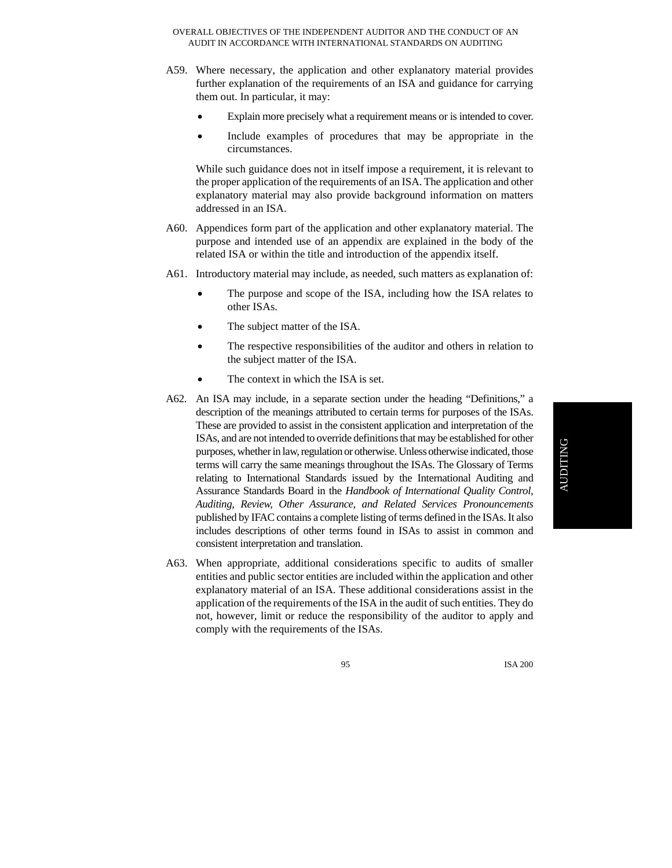- A59. Where necessary, the application and other explanatory material provides further explanation of the requirements of an ISA and guidance for carrying them out. In particular, it may:
	- Explain more precisely what a requirement means or is intended to cover.
	- Include examples of procedures that may be appropriate in the circumstances.

While such guidance does not in itself impose a requirement, it is relevant to the proper application of the requirements of an ISA. The application and other explanatory material may also provide background information on matters addressed in an ISA.

- A60. Appendices form part of the application and other explanatory material. The purpose and intended use of an appendix are explained in the body of the related ISA or within the title and introduction of the appendix itself.
- A61. Introductory material may include, as needed, such matters as explanation of:
	- The purpose and scope of the ISA, including how the ISA relates to other ISAs.
	- The subject matter of the ISA.
	- The respective responsibilities of the auditor and others in relation to the subject matter of the ISA.
	- The context in which the ISA is set.
- A62. An ISA may include, in a separate section under the heading "Definitions," a description of the meanings attributed to certain terms for purposes of the ISAs. These are provided to assist in the consistent application and interpretation of the ISAs, and are not intended to override definitions that may be established for other purposes, whether in law, regulation or otherwise. Unless otherwise indicated, those terms will carry the same meanings throughout the ISAs. The Glossary of Terms relating to International Standards issued by the International Auditing and Assurance Standards Board in the *Handbook of International Quality Control, Auditing, Review, Other Assurance, and Related Services Pronouncements* published by IFAC contains a complete listing of terms defined in the ISAs. It also includes descriptions of other terms found in ISAs to assist in common and consistent interpretation and translation.
- A63. When appropriate, additional considerations specific to audits of smaller entities and public sector entities are included within the application and other explanatory material of an ISA. These additional considerations assist in the application of the requirements of the ISA in the audit of such entities. They do not, however, limit or reduce the responsibility of the auditor to apply and comply with the requirements of the ISAs.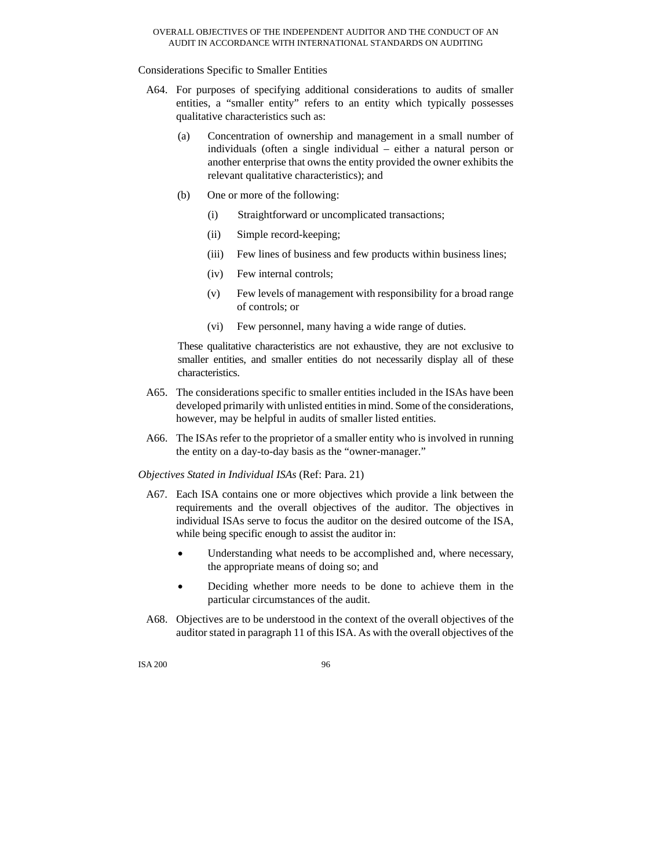Considerations Specific to Smaller Entities

- A64. For purposes of specifying additional considerations to audits of smaller entities, a "smaller entity" refers to an entity which typically possesses qualitative characteristics such as:
	- (a) Concentration of ownership and management in a small number of individuals (often a single individual – either a natural person or another enterprise that owns the entity provided the owner exhibits the relevant qualitative characteristics); and
	- (b) One or more of the following:
		- (i) Straightforward or uncomplicated transactions;
		- (ii) Simple record-keeping;
		- (iii) Few lines of business and few products within business lines;
		- (iv) Few internal controls;
		- (v) Few levels of management with responsibility for a broad range of controls; or
		- (vi) Few personnel, many having a wide range of duties.

These qualitative characteristics are not exhaustive, they are not exclusive to smaller entities, and smaller entities do not necessarily display all of these characteristics.

- A65. The considerations specific to smaller entities included in the ISAs have been developed primarily with unlisted entities in mind. Some of the considerations, however, may be helpful in audits of smaller listed entities.
- A66. The ISAs refer to the proprietor of a smaller entity who is involved in running the entity on a day-to-day basis as the "owner-manager."

## *Objectives Stated in Individual ISAs* (Ref: Para. 21)

- A67. Each ISA contains one or more objectives which provide a link between the requirements and the overall objectives of the auditor. The objectives in individual ISAs serve to focus the auditor on the desired outcome of the ISA, while being specific enough to assist the auditor in:
	- Understanding what needs to be accomplished and, where necessary, the appropriate means of doing so; and
	- Deciding whether more needs to be done to achieve them in the particular circumstances of the audit.
- A68. Objectives are to be understood in the context of the overall objectives of the auditor stated in paragraph 11 of this ISA. As with the overall objectives of the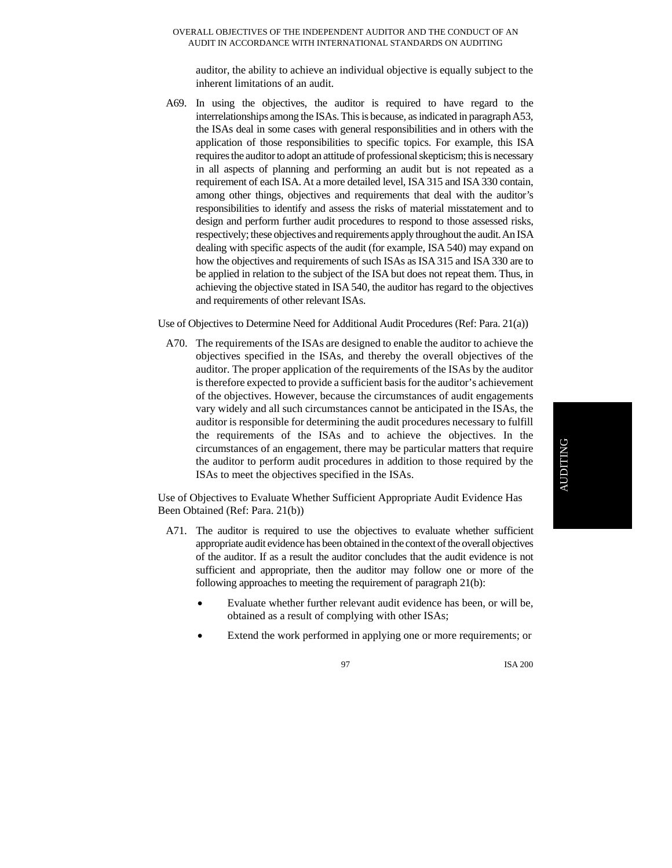auditor, the ability to achieve an individual objective is equally subject to the inherent limitations of an audit.

A69. In using the objectives, the auditor is required to have regard to the interrelationships among the ISAs. This is because, as indicated in paragraph A53, the ISAs deal in some cases with general responsibilities and in others with the application of those responsibilities to specific topics. For example, this ISA requires the auditor to adopt an attitude of professional skepticism; this is necessary in all aspects of planning and performing an audit but is not repeated as a requirement of each ISA. At a more detailed level, ISA 315 and ISA 330 contain, among other things, objectives and requirements that deal with the auditor's responsibilities to identify and assess the risks of material misstatement and to design and perform further audit procedures to respond to those assessed risks, respectively; these objectives and requirements apply throughout the audit. An ISA dealing with specific aspects of the audit (for example, ISA 540) may expand on how the objectives and requirements of such ISAs as ISA 315 and ISA 330 are to be applied in relation to the subject of the ISA but does not repeat them. Thus, in achieving the objective stated in ISA 540, the auditor has regard to the objectives and requirements of other relevant ISAs.

Use of Objectives to Determine Need for Additional Audit Procedures (Ref: Para. 21(a))

A70. The requirements of the ISAs are designed to enable the auditor to achieve the objectives specified in the ISAs, and thereby the overall objectives of the auditor. The proper application of the requirements of the ISAs by the auditor is therefore expected to provide a sufficient basis for the auditor's achievement of the objectives. However, because the circumstances of audit engagements vary widely and all such circumstances cannot be anticipated in the ISAs, the auditor is responsible for determining the audit procedures necessary to fulfill the requirements of the ISAs and to achieve the objectives. In the circumstances of an engagement, there may be particular matters that require the auditor to perform audit procedures in addition to those required by the ISAs to meet the objectives specified in the ISAs.

Use of Objectives to Evaluate Whether Sufficient Appropriate Audit Evidence Has Been Obtained (Ref: Para. 21(b))

- A71. The auditor is required to use the objectives to evaluate whether sufficient appropriate audit evidence has been obtained in the context of the overall objectives of the auditor. If as a result the auditor concludes that the audit evidence is not sufficient and appropriate, then the auditor may follow one or more of the following approaches to meeting the requirement of paragraph 21(b):
	- Evaluate whether further relevant audit evidence has been, or will be, obtained as a result of complying with other ISAs;
	- Extend the work performed in applying one or more requirements; or

AUDITING **AUDITING**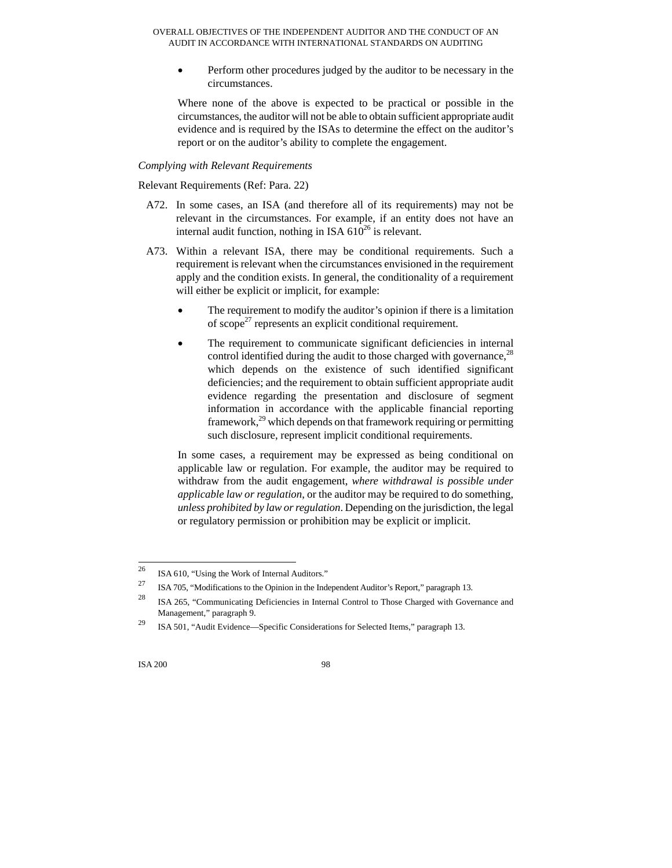• Perform other procedures judged by the auditor to be necessary in the circumstances.

Where none of the above is expected to be practical or possible in the circumstances, the auditor will not be able to obtain sufficient appropriate audit evidence and is required by the ISAs to determine the effect on the auditor's report or on the auditor's ability to complete the engagement.

# *Complying with Relevant Requirements*

Relevant Requirements (Ref: Para. 22)

- A72. In some cases, an ISA (and therefore all of its requirements) may not be relevant in the circumstances. For example, if an entity does not have an internal audit function, nothing in ISA  $610^{26}$  is relevant.
- A73. Within a relevant ISA, there may be conditional requirements. Such a requirement is relevant when the circumstances envisioned in the requirement apply and the condition exists. In general, the conditionality of a requirement will either be explicit or implicit, for example:
	- The requirement to modify the auditor's opinion if there is a limitation of scope<sup>27</sup> represents an explicit conditional requirement.
	- The requirement to communicate significant deficiencies in internal control identified during the audit to those charged with governance,  $28$ which depends on the existence of such identified significant deficiencies; and the requirement to obtain sufficient appropriate audit evidence regarding the presentation and disclosure of segment information in accordance with the applicable financial reporting framework, $2^9$  which depends on that framework requiring or permitting such disclosure, represent implicit conditional requirements.

In some cases, a requirement may be expressed as being conditional on applicable law or regulation. For example, the auditor may be required to withdraw from the audit engagement, *where withdrawal is possible under applicable law or regulation*, or the auditor may be required to do something, *unless prohibited by law or regulation*. Depending on the jurisdiction, the legal or regulatory permission or prohibition may be explicit or implicit.

<sup>26</sup> ISA 610, "Using the Work of Internal Auditors."

<sup>&</sup>lt;sup>27</sup> ISA 705, "Modifications to the Opinion in the Independent Auditor's Report," paragraph 13.

<sup>28</sup> ISA 265, "Communicating Deficiencies in Internal Control to Those Charged with Governance and Management," paragraph 9.

<sup>&</sup>lt;sup>29</sup> ISA 501, "Audit Evidence—Specific Considerations for Selected Items," paragraph 13.

ISA 200 98